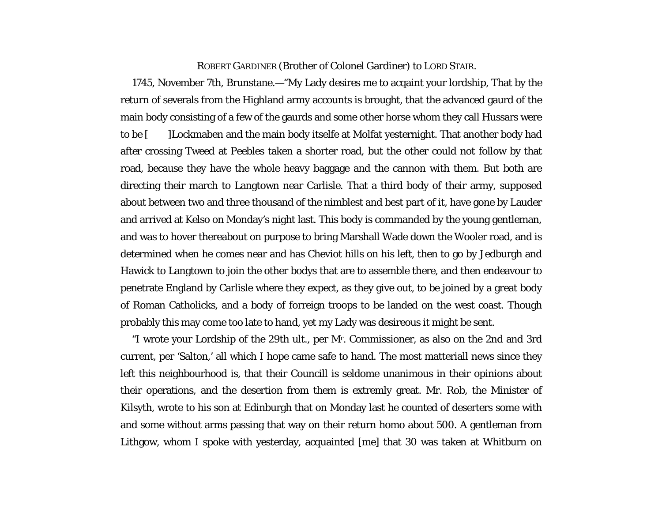## ROBERT GARDINER (Brother of Colonel Gardiner) to LORD STAIR.

1745, November 7th, Brunstane.—"My Lady desires me to acqaint your lordship, That by the return of severals from the Highland army accounts is brought, that the advanced gaurd of the main body consisting of a few of the gaurds and some other horse whom they call Hussars were to be [ ]Lockmaben and the main body itselfe at Molfat yesternight. That another body had after crossing Tweed at Peebles taken a shorter road, but the other could not follow by that road, because they have the whole heavy baggage and the cannon with them. But both are directing their march to Langtown near Carlisle. That a third body of their army, supposed about between two and three thousand of the nimblest and best part of it, have gone by Lauder and arrived at Kelso on Monday's night last. This body is commanded by the young gentleman, and was to hover thereabout on purpose to bring Marshall Wade down the Wooler road, and is determined when he comes near and has Cheviot hills on his left, then to go by Jedburgh and Hawick to Langtown to join the other bodys that are to assemble there, and then endeavour to penetrate England by Carlisle where they expect, as they give out, to be joined by a great body of Roman Catholicks, and a body of forreign troops to be landed on the west coast. Though probably this may come too late to hand, yet my Lady was desireous it might be sent.

"I wrote your Lordship of the 29th ult., per Mr. Commissioner, as also on the 2nd and 3rd current, per 'Salton,' all which I hope came safe to hand. The most matteriall news since they left this neighbourhood is, that their Councill is seldome unanimous in their opinions about their operations, and the desertion from them is extremly great. Mr. Rob, the Minister of Kilsyth, wrote to his son at Edinburgh that on Monday last he counted of deserters some with and some without arms passing that way on their return homo about 500. A gentleman from Lithgow, whom I spoke with yesterday, acquainted [me] that 30 was taken at Whitburn on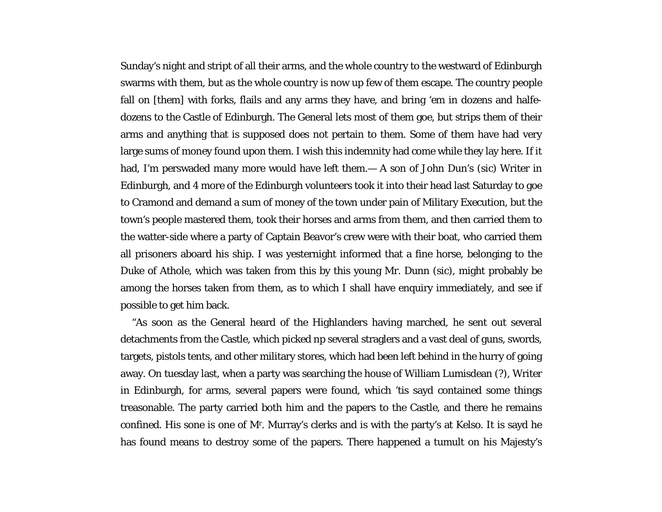Sunday's night and stript of all their arms, and the whole country to the westward of Edinburgh swarms with them, but as the whole country is now up few of them escape. The country people fall on [them] with forks, flails and any arms they have, and bring 'em in dozens and halfedozens to the Castle of Edinburgh. The General lets most of them goe, but strips them of their arms and anything that is supposed does not pertain to them. Some of them have had very large sums of money found upon them. I wish this indemnity had come while they lay here. If it had, I'm perswaded many more would have left them.— A son of John Dun's (*sic*) Writer in Edinburgh, and 4 more of the Edinburgh volunteers took it into their head last Saturday to goe to Cramond and demand a sum of money of the town under pain of Military Execution, but the town's people mastered them, took their horses and arms from them, and then carried them to the watter-side where a party of Captain Beavor's crew were with their boat, who carried them all prisoners aboard his ship. I was yesternight informed that a fine horse, belonging to the Duke of Athole, which was taken from this by this young Mr. Dunn (*sic*), might probably be among the horses taken from them, as to which I shall have enquiry immediately, and see if possible to get him back.

"As soon as the General heard of the Highlanders having marched, he sent out several detachments from the Castle, which picked np several straglers and a vast deal of guns, swords, targets, pistols tents, and other military stores, which had been left behind in the hurry of going away. On tuesday last, when a party was searching the house of William Lumisdean (?), Writer in Edinburgh, for arms, several papers were found, which 'tis sayd contained some things treasonable. The party carried both him and the papers to the Castle, and there he remains confined. His sone is one of Mr. Murray's clerks and is with the party's at Kelso. It is sayd he has found means to destroy some of the papers. There happened a tumult on his Majesty's